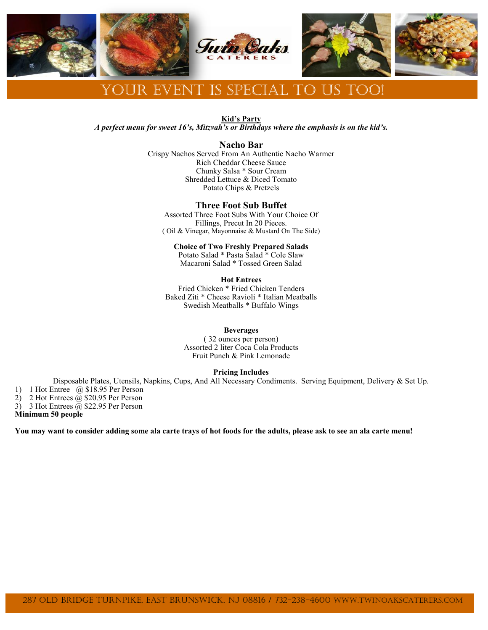

# Your Event is special to us too!

**Kid's Party**

*A perfect menu for sweet 16's, Mitzvah's or Birthdays where the emphasis is on the kid's.*

## **Nacho Bar**

Crispy Nachos Served From An Authentic Nacho Warmer Rich Cheddar Cheese Sauce Chunky Salsa \* Sour Cream Shredded Lettuce & Diced Tomato Potato Chips & Pretzels

## **Three Foot Sub Buffet**

Assorted Three Foot Subs With Your Choice Of Fillings, Precut In 20 Pieces. ( Oil & Vinegar, Mayonnaise & Mustard On The Side)

#### **Choice of Two Freshly Prepared Salads**

Potato Salad \* Pasta Salad \* Cole Slaw Macaroni Salad \* Tossed Green Salad

### **Hot Entrees**

Fried Chicken \* Fried Chicken Tenders Baked Ziti \* Cheese Ravioli \* Italian Meatballs Swedish Meatballs \* Buffalo Wings

#### **Beverages**

( 32 ounces per person) Assorted 2 liter Coca Cola Products Fruit Punch & Pink Lemonade

#### **Pricing Includes**

Disposable Plates, Utensils, Napkins, Cups, And All Necessary Condiments. Serving Equipment, Delivery & Set Up. 1) 1 Hot Entree @ \$18.95 Per Person

2) 2 Hot Entrees  $\tilde{a}$  \$20.95 Per Person

3) 3 Hot Entrees  $\tilde{\omega}$  \$22.95 Per Person

**Minimum 50 people**

**You may want to consider adding some ala carte trays of hot foods for the adults, please ask to see an ala carte menu!**